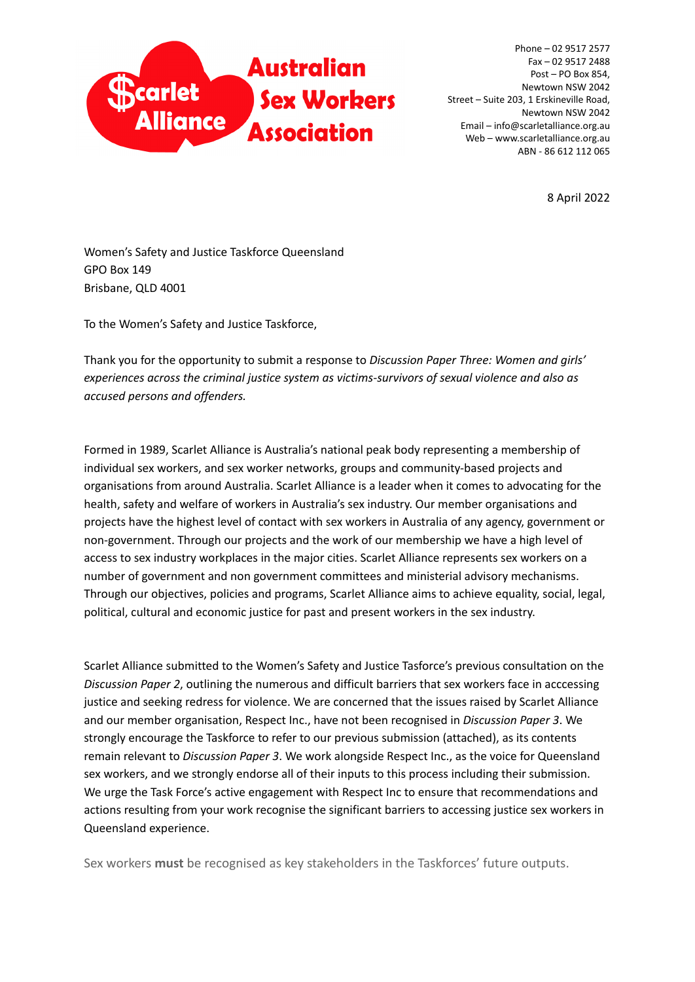

Phone – 02 9517 2577 Fax – 02 9517 2488 Post – PO Box 854, Newtown NSW 2042 Street – Suite 203, 1 Erskineville Road, Newtown NSW 2042 Email – info@scarletalliance.org.au Web – www.scarletalliance.org.au ABN - 86 612 112 065

8 April 2022

Women's Safety and Justice Taskforce Queensland GPO Box 149 Brisbane, QLD 4001

To the Women's Safety and Justice Taskforce,

Thank you for the opportunity to submit a response to *Discussion Paper Three: Women and girls' experiences across the criminal justice system as victims-survivors of sexual violence and also as accused persons and offenders.*

Formed in 1989, Scarlet Alliance is Australia's national peak body representing a membership of individual sex workers, and sex worker networks, groups and community-based projects and organisations from around Australia. Scarlet Alliance is a leader when it comes to advocating for the health, safety and welfare of workers in Australia's sex industry. Our member organisations and projects have the highest level of contact with sex workers in Australia of any agency, government or non-government. Through our projects and the work of our membership we have a high level of access to sex industry workplaces in the major cities. Scarlet Alliance represents sex workers on a number of government and non government committees and ministerial advisory mechanisms. Through our objectives, policies and programs, Scarlet Alliance aims to achieve equality, social, legal, political, cultural and economic justice for past and present workers in the sex industry.

Scarlet Alliance submitted to the Women's Safety and Justice Tasforce's previous consultation on the *Discussion Paper 2*, outlining the numerous and difficult barriers that sex workers face in acccessing justice and seeking redress for violence. We are concerned that the issues raised by Scarlet Alliance and our member organisation, Respect Inc., have not been recognised in *Discussion Paper 3*. We strongly encourage the Taskforce to refer to our previous submission (attached), as its contents remain relevant to *Discussion Paper 3*. We work alongside Respect Inc., as the voice for Queensland sex workers, and we strongly endorse all of their inputs to this process including their submission. We urge the Task Force's active engagement with Respect Inc to ensure that recommendations and actions resulting from your work recognise the significant barriers to accessing justice sex workers in Queensland experience.

Sex workers **must** be recognised as key stakeholders in the Taskforces' future outputs.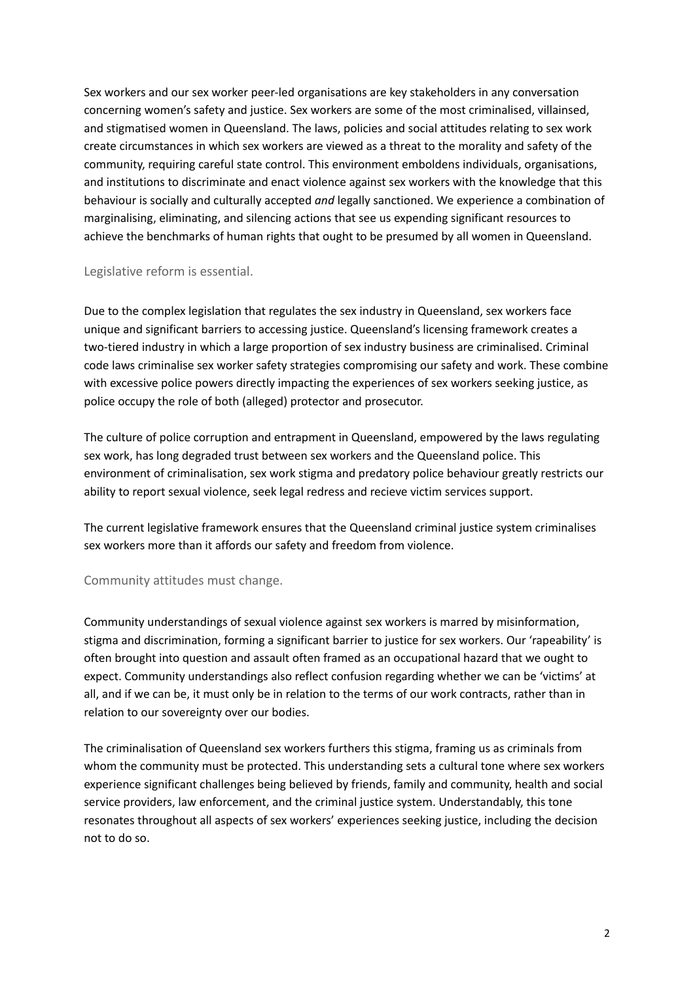Sex workers and our sex worker peer-led organisations are key stakeholders in any conversation concerning women's safety and justice. Sex workers are some of the most criminalised, villainsed, and stigmatised women in Queensland. The laws, policies and social attitudes relating to sex work create circumstances in which sex workers are viewed as a threat to the morality and safety of the community, requiring careful state control. This environment emboldens individuals, organisations, and institutions to discriminate and enact violence against sex workers with the knowledge that this behaviour is socially and culturally accepted *and* legally sanctioned. We experience a combination of marginalising, eliminating, and silencing actions that see us expending significant resources to achieve the benchmarks of human rights that ought to be presumed by all women in Queensland.

## Legislative reform is essential.

Due to the complex legislation that regulates the sex industry in Queensland, sex workers face unique and significant barriers to accessing justice. Queensland's licensing framework creates a two-tiered industry in which a large proportion of sex industry business are criminalised. Criminal code laws criminalise sex worker safety strategies compromising our safety and work. These combine with excessive police powers directly impacting the experiences of sex workers seeking justice, as police occupy the role of both (alleged) protector and prosecutor.

The culture of police corruption and entrapment in Queensland, empowered by the laws regulating sex work, has long degraded trust between sex workers and the Queensland police. This environment of criminalisation, sex work stigma and predatory police behaviour greatly restricts our ability to report sexual violence, seek legal redress and recieve victim services support.

The current legislative framework ensures that the Queensland criminal justice system criminalises sex workers more than it affords our safety and freedom from violence.

# Community attitudes must change.

Community understandings of sexual violence against sex workers is marred by misinformation, stigma and discrimination, forming a significant barrier to justice for sex workers. Our 'rapeability' is often brought into question and assault often framed as an occupational hazard that we ought to expect. Community understandings also reflect confusion regarding whether we can be 'victims' at all, and if we can be, it must only be in relation to the terms of our work contracts, rather than in relation to our sovereignty over our bodies.

The criminalisation of Queensland sex workers furthers this stigma, framing us as criminals from whom the community must be protected. This understanding sets a cultural tone where sex workers experience significant challenges being believed by friends, family and community, health and social service providers, law enforcement, and the criminal justice system. Understandably, this tone resonates throughout all aspects of sex workers' experiences seeking justice, including the decision not to do so.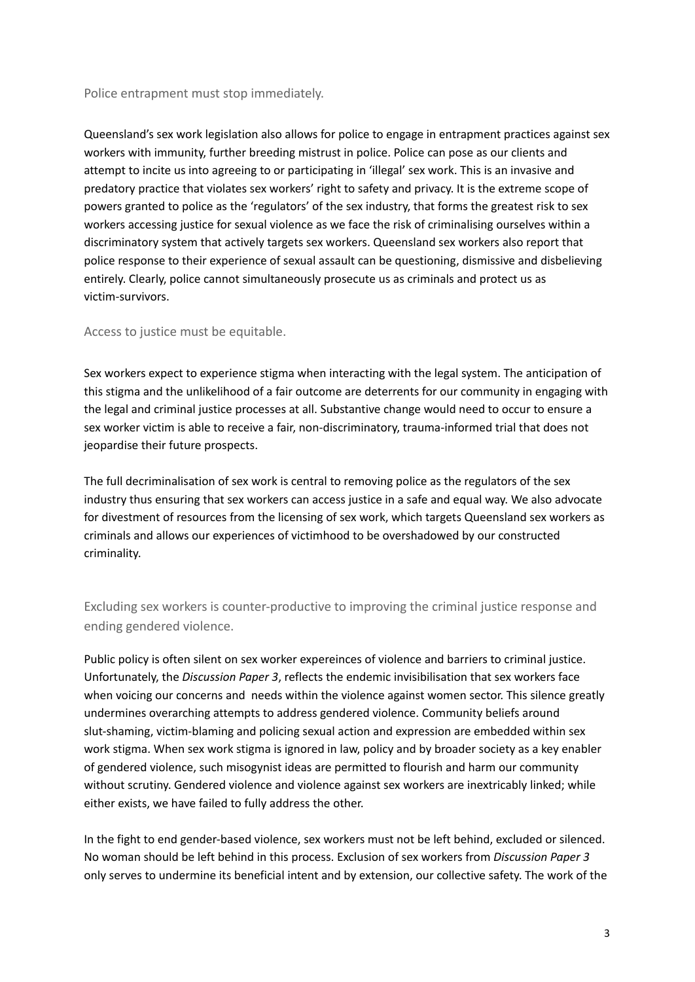## Police entrapment must stop immediately.

Queensland's sex work legislation also allows for police to engage in entrapment practices against sex workers with immunity, further breeding mistrust in police. Police can pose as our clients and attempt to incite us into agreeing to or participating in 'illegal' sex work. This is an invasive and predatory practice that violates sex workers' right to safety and privacy. It is the extreme scope of powers granted to police as the 'regulators' of the sex industry, that forms the greatest risk to sex workers accessing justice for sexual violence as we face the risk of criminalising ourselves within a discriminatory system that actively targets sex workers. Queensland sex workers also report that police response to their experience of sexual assault can be questioning, dismissive and disbelieving entirely. Clearly, police cannot simultaneously prosecute us as criminals and protect us as victim-survivors.

## Access to justice must be equitable.

Sex workers expect to experience stigma when interacting with the legal system. The anticipation of this stigma and the unlikelihood of a fair outcome are deterrents for our community in engaging with the legal and criminal justice processes at all. Substantive change would need to occur to ensure a sex worker victim is able to receive a fair, non-discriminatory, trauma-informed trial that does not jeopardise their future prospects.

The full decriminalisation of sex work is central to removing police as the regulators of the sex industry thus ensuring that sex workers can access justice in a safe and equal way. We also advocate for divestment of resources from the licensing of sex work, which targets Queensland sex workers as criminals and allows our experiences of victimhood to be overshadowed by our constructed criminality.

Excluding sex workers is counter-productive to improving the criminal justice response and ending gendered violence.

Public policy is often silent on sex worker expereinces of violence and barriers to criminal justice. Unfortunately, the *Discussion Paper 3*, reflects the endemic invisibilisation that sex workers face when voicing our concerns and needs within the violence against women sector. This silence greatly undermines overarching attempts to address gendered violence. Community beliefs around slut-shaming, victim-blaming and policing sexual action and expression are embedded within sex work stigma. When sex work stigma is ignored in law, policy and by broader society as a key enabler of gendered violence, such misogynist ideas are permitted to flourish and harm our community without scrutiny. Gendered violence and violence against sex workers are inextricably linked; while either exists, we have failed to fully address the other.

In the fight to end gender-based violence, sex workers must not be left behind, excluded or silenced. No woman should be left behind in this process. Exclusion of sex workers from *Discussion Paper 3* only serves to undermine its beneficial intent and by extension, our collective safety. The work of the